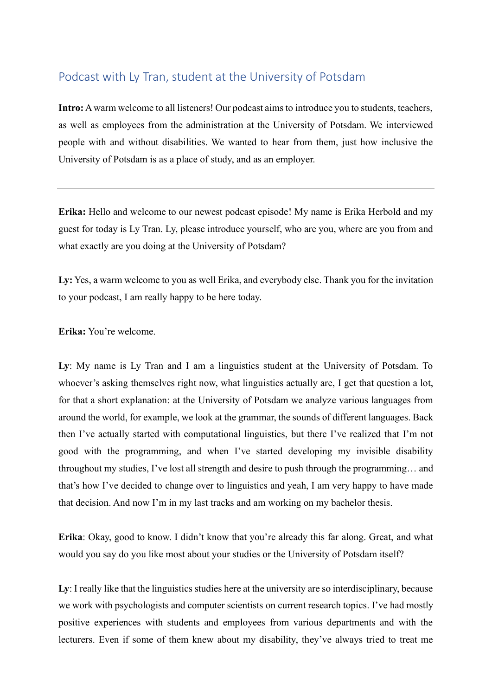## Podcast with Ly Tran, student at the University of Potsdam

**Intro:** A warm welcome to all listeners! Our podcast aims to introduce you to students, teachers, as well as employees from the administration at the University of Potsdam. We interviewed people with and without disabilities. We wanted to hear from them, just how inclusive the University of Potsdam is as a place of study, and as an employer.

**Erika:** Hello and welcome to our newest podcast episode! My name is Erika Herbold and my guest for today is Ly Tran. Ly, please introduce yourself, who are you, where are you from and what exactly are you doing at the University of Potsdam?

Ly: Yes, a warm welcome to you as well Erika, and everybody else. Thank you for the invitation to your podcast, I am really happy to be here today.

**Erika:** You're welcome.

**Ly**: My name is Ly Tran and I am a linguistics student at the University of Potsdam. To whoever's asking themselves right now, what linguistics actually are, I get that question a lot, for that a short explanation: at the University of Potsdam we analyze various languages from around the world, for example, we look at the grammar, the sounds of different languages. Back then I've actually started with computational linguistics, but there I've realized that I'm not good with the programming, and when I've started developing my invisible disability throughout my studies, I've lost all strength and desire to push through the programming… and that's how I've decided to change over to linguistics and yeah, I am very happy to have made that decision. And now I'm in my last tracks and am working on my bachelor thesis.

**Erika**: Okay, good to know. I didn't know that you're already this far along. Great, and what would you say do you like most about your studies or the University of Potsdam itself?

**Ly**: I really like that the linguistics studies here at the university are so interdisciplinary, because we work with psychologists and computer scientists on current research topics. I've had mostly positive experiences with students and employees from various departments and with the lecturers. Even if some of them knew about my disability, they've always tried to treat me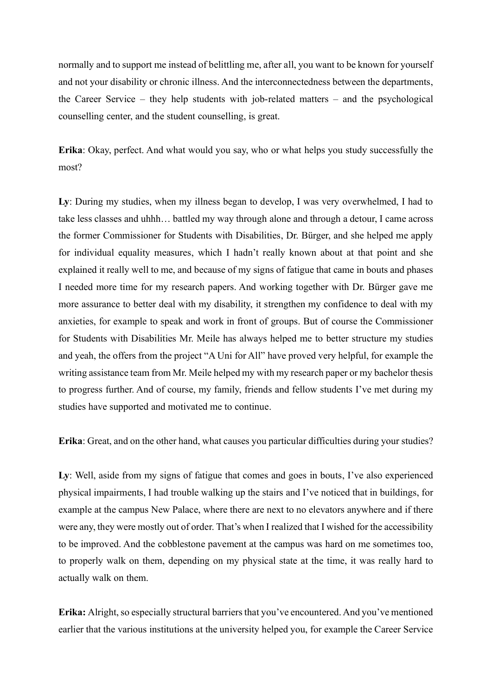normally and to support me instead of belittling me, after all, you want to be known for yourself and not your disability or chronic illness. And the interconnectedness between the departments, the Career Service – they help students with job-related matters – and the psychological counselling center, and the student counselling, is great.

**Erika**: Okay, perfect. And what would you say, who or what helps you study successfully the most?

**Ly**: During my studies, when my illness began to develop, I was very overwhelmed, I had to take less classes and uhhh… battled my way through alone and through a detour, I came across the former Commissioner for Students with Disabilities, Dr. Bürger, and she helped me apply for individual equality measures, which I hadn't really known about at that point and she explained it really well to me, and because of my signs of fatigue that came in bouts and phases I needed more time for my research papers. And working together with Dr. Bürger gave me more assurance to better deal with my disability, it strengthen my confidence to deal with my anxieties, for example to speak and work in front of groups. But of course the Commissioner for Students with Disabilities Mr. Meile has always helped me to better structure my studies and yeah, the offers from the project "A Uni for All" have proved very helpful, for example the writing assistance team from Mr. Meile helped my with my research paper or my bachelor thesis to progress further. And of course, my family, friends and fellow students I've met during my studies have supported and motivated me to continue.

**Erika**: Great, and on the other hand, what causes you particular difficulties during your studies?

Ly: Well, aside from my signs of fatigue that comes and goes in bouts, I've also experienced physical impairments, I had trouble walking up the stairs and I've noticed that in buildings, for example at the campus New Palace, where there are next to no elevators anywhere and if there were any, they were mostly out of order. That's when I realized that I wished for the accessibility to be improved. And the cobblestone pavement at the campus was hard on me sometimes too, to properly walk on them, depending on my physical state at the time, it was really hard to actually walk on them.

**Erika:** Alright, so especially structural barriers that you've encountered. And you've mentioned earlier that the various institutions at the university helped you, for example the Career Service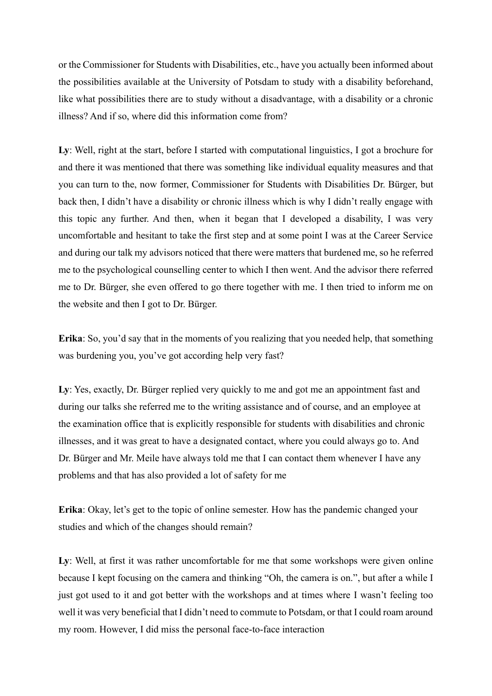or the Commissioner for Students with Disabilities, etc., have you actually been informed about the possibilities available at the University of Potsdam to study with a disability beforehand, like what possibilities there are to study without a disadvantage, with a disability or a chronic illness? And if so, where did this information come from?

**Ly**: Well, right at the start, before I started with computational linguistics, I got a brochure for and there it was mentioned that there was something like individual equality measures and that you can turn to the, now former, Commissioner for Students with Disabilities Dr. Bürger, but back then, I didn't have a disability or chronic illness which is why I didn't really engage with this topic any further. And then, when it began that I developed a disability, I was very uncomfortable and hesitant to take the first step and at some point I was at the Career Service and during our talk my advisors noticed that there were matters that burdened me, so he referred me to the psychological counselling center to which I then went. And the advisor there referred me to Dr. Bürger, she even offered to go there together with me. I then tried to inform me on the website and then I got to Dr. Bürger.

**Erika**: So, you'd say that in the moments of you realizing that you needed help, that something was burdening you, you've got according help very fast?

Ly: Yes, exactly, Dr. Bürger replied very quickly to me and got me an appointment fast and during our talks she referred me to the writing assistance and of course, and an employee at the examination office that is explicitly responsible for students with disabilities and chronic illnesses, and it was great to have a designated contact, where you could always go to. And Dr. Bürger and Mr. Meile have always told me that I can contact them whenever I have any problems and that has also provided a lot of safety for me

**Erika**: Okay, let's get to the topic of online semester. How has the pandemic changed your studies and which of the changes should remain?

Ly: Well, at first it was rather uncomfortable for me that some workshops were given online because I kept focusing on the camera and thinking "Oh, the camera is on.", but after a while I just got used to it and got better with the workshops and at times where I wasn't feeling too well it was very beneficial that I didn't need to commute to Potsdam, or that I could roam around my room. However, I did miss the personal face-to-face interaction